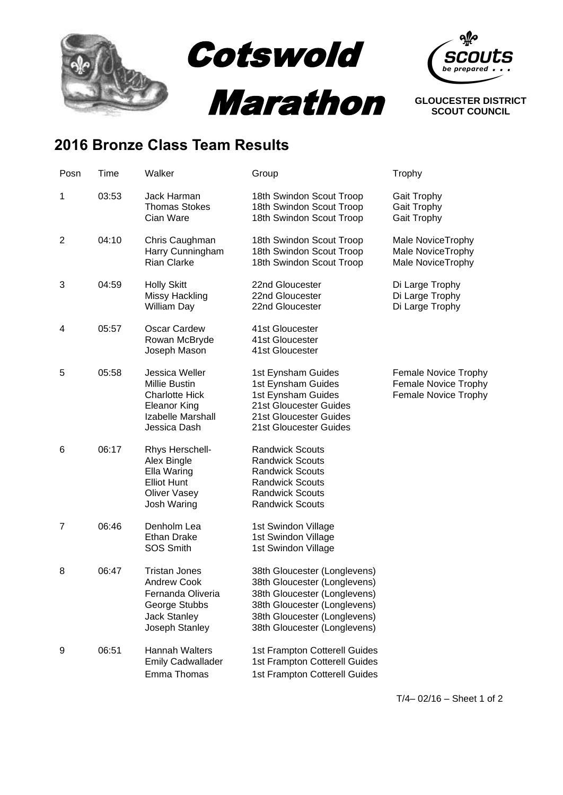

## **2016 Bronze Class Team Results**

| Posn | Time  | Walker                                                                                                                    | Group                                                                                                                                                                                        | Trophy                                                               |
|------|-------|---------------------------------------------------------------------------------------------------------------------------|----------------------------------------------------------------------------------------------------------------------------------------------------------------------------------------------|----------------------------------------------------------------------|
| 1    | 03:53 | Jack Harman<br><b>Thomas Stokes</b><br>Cian Ware                                                                          | 18th Swindon Scout Troop<br>18th Swindon Scout Troop<br>18th Swindon Scout Troop                                                                                                             | <b>Gait Trophy</b><br>Gait Trophy<br>Gait Trophy                     |
| 2    | 04:10 | Chris Caughman<br>Harry Cunningham<br><b>Rian Clarke</b>                                                                  | 18th Swindon Scout Troop<br>18th Swindon Scout Troop<br>18th Swindon Scout Troop                                                                                                             | Male NoviceTrophy<br>Male NoviceTrophy<br>Male NoviceTrophy          |
| 3    | 04:59 | <b>Holly Skitt</b><br><b>Missy Hackling</b><br>William Day                                                                | 22nd Gloucester<br>22nd Gloucester<br>22nd Gloucester                                                                                                                                        | Di Large Trophy<br>Di Large Trophy<br>Di Large Trophy                |
| 4    | 05:57 | <b>Oscar Cardew</b><br>Rowan McBryde<br>Joseph Mason                                                                      | 41st Gloucester<br>41st Gloucester<br>41st Gloucester                                                                                                                                        |                                                                      |
| 5    | 05:58 | Jessica Weller<br>Millie Bustin<br><b>Charlotte Hick</b><br><b>Eleanor King</b><br>Izabelle Marshall<br>Jessica Dash      | 1st Eynsham Guides<br>1st Eynsham Guides<br>1st Eynsham Guides<br>21st Gloucester Guides<br>21st Gloucester Guides<br>21st Gloucester Guides                                                 | Female Novice Trophy<br>Female Novice Trophy<br>Female Novice Trophy |
| 6    | 06:17 | Rhys Herschell-<br>Alex Bingle<br>Ella Waring<br><b>Elliot Hunt</b><br><b>Oliver Vasey</b><br>Josh Waring                 | <b>Randwick Scouts</b><br><b>Randwick Scouts</b><br><b>Randwick Scouts</b><br><b>Randwick Scouts</b><br><b>Randwick Scouts</b><br><b>Randwick Scouts</b>                                     |                                                                      |
| 7    | 06:46 | Denholm Lea<br><b>Ethan Drake</b><br>SOS Smith                                                                            | 1st Swindon Village<br>1st Swindon Village<br>1st Swindon Village                                                                                                                            |                                                                      |
| 8    | 06:47 | <b>Tristan Jones</b><br><b>Andrew Cook</b><br>Fernanda Oliveria<br>George Stubbs<br><b>Jack Stanley</b><br>Joseph Stanley | 38th Gloucester (Longlevens)<br>38th Gloucester (Longlevens)<br>38th Gloucester (Longlevens)<br>38th Gloucester (Longlevens)<br>38th Gloucester (Longlevens)<br>38th Gloucester (Longlevens) |                                                                      |
| 9    | 06:51 | <b>Hannah Walters</b><br><b>Emily Cadwallader</b><br>Emma Thomas                                                          | 1st Frampton Cotterell Guides<br>1st Frampton Cotterell Guides<br>1st Frampton Cotterell Guides                                                                                              |                                                                      |

T/4– 02/16 – Sheet 1 of 2